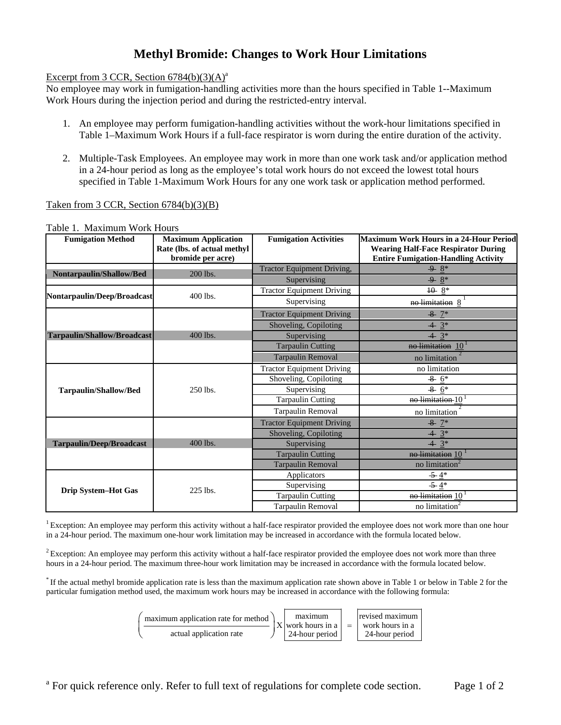# **Methyl Bromide: Changes to Work Hour Limitations**

# Excerpt from 3 CCR, Section  $6784(b)(3)(A)^{a}$

No employee may work in fumigation-handling activities more than the hours specified in Table 1--Maximum Work Hours during the injection period and during the restricted-entry interval.

- 1. An employee may perform fumigation-handling activities without the work-hour limitations specified in Table 1–Maximum Work Hours if a full-face respirator is worn during the entire duration of the activity.
- 2. Multiple-Task Employees. An employee may work in more than one work task and/or application method in a 24-hour period as long as the employee's total work hours do not exceed the lowest total hours specified in Table 1-Maximum Work Hours for any one work task or application method performed.

# Taken from 3 CCR, Section 6784(b)(3)(B)

| <b>Fumigation Method</b>        | <b>Maximum Application</b><br>Rate (lbs. of actual methyl<br>bromide per acre) | <b>Fumigation Activities</b>      | Maximum Work Hours in a 24-Hour Period<br><b>Wearing Half-Face Respirator During</b><br><b>Entire Fumigation-Handling Activity</b> |
|---------------------------------|--------------------------------------------------------------------------------|-----------------------------------|------------------------------------------------------------------------------------------------------------------------------------|
| Nontarpaulin/Shallow/Bed        | 200 lbs.                                                                       | <b>Tractor Equipment Driving,</b> | $9 \frac{8}{3}$                                                                                                                    |
|                                 |                                                                                | Supervising                       | $9 \, 8^*$                                                                                                                         |
| Nontarpaulin/Deep/Broadcast     | 400 lbs.                                                                       | <b>Tractor Equipment Driving</b>  | $10^{8*}$                                                                                                                          |
|                                 |                                                                                | Supervising                       | no limitation 8                                                                                                                    |
|                                 |                                                                                | <b>Tractor Equipment Driving</b>  | $-8$ 7*                                                                                                                            |
|                                 |                                                                                | Shoveling, Copiloting             | $4 \frac{3}{5}$                                                                                                                    |
| Tarpaulin/Shallow/Broadcast     | 400 lbs.                                                                       | Supervising                       | $4^{3*}$                                                                                                                           |
|                                 |                                                                                | <b>Tarpaulin Cutting</b>          | no limitation 10                                                                                                                   |
|                                 |                                                                                | Tarpaulin Removal                 | no limitation                                                                                                                      |
|                                 |                                                                                | <b>Tractor Equipment Driving</b>  | no limitation                                                                                                                      |
|                                 | 250 lbs.                                                                       | Shoveling, Copiloting             | $8 \, 6^*$                                                                                                                         |
| <b>Tarpaulin/Shallow/Bed</b>    |                                                                                | Supervising                       | $8 \t6*$                                                                                                                           |
|                                 |                                                                                | <b>Tarpaulin Cutting</b>          | no limitation 10                                                                                                                   |
|                                 |                                                                                | Tarpaulin Removal                 | no limitation                                                                                                                      |
|                                 |                                                                                | <b>Tractor Equipment Driving</b>  | $-8$ $7*$                                                                                                                          |
|                                 |                                                                                | Shoveling, Copiloting             | $4 \frac{3}{3}$                                                                                                                    |
| <b>Tarpaulin/Deep/Broadcast</b> | 400 lbs.                                                                       | Supervising                       | $4 \; 3^*$                                                                                                                         |
|                                 |                                                                                | <b>Tarpaulin Cutting</b>          | no limitation 10                                                                                                                   |
|                                 |                                                                                | <b>Tarpaulin Removal</b>          | no limitation <sup>®</sup>                                                                                                         |
|                                 |                                                                                | Applicators                       | $-5.4*$                                                                                                                            |
| Drip System-Hot Gas             | 225 lbs.                                                                       | Supervising                       | $-5.4*$                                                                                                                            |
|                                 |                                                                                | <b>Tarpaulin Cutting</b>          | no limitation 10                                                                                                                   |
|                                 |                                                                                | Tarpaulin Removal                 | no limitation                                                                                                                      |

Table 1. Maximum Work Hours

<sup>1</sup> Exception: An employee may perform this activity without a half-face respirator provided the employee does not work more than one hour in a 24-hour period. The maximum one-hour work limitation may be increased in accordance with the formula located below.

<sup>2</sup> Exception: An employee may perform this activity without a half-face respirator provided the employee does not work more than three hours in a 24-hour period. The maximum three-hour work limitation may be increased in accordance with the formula located below.

\* If the actual methyl bromide application rate is less than the maximum application rate shown above in Table 1 or below in Table 2 for the particular fumigation method used, the maximum work hours may be increased in accordance with the following formula:

| maximum application rate for method |  | maximum<br>$X$ work hours in a | $=$ $\Box$ | revised maximum<br>work hours in a |
|-------------------------------------|--|--------------------------------|------------|------------------------------------|
| actual application rate             |  | 24-hour period                 |            | 24-hour period                     |